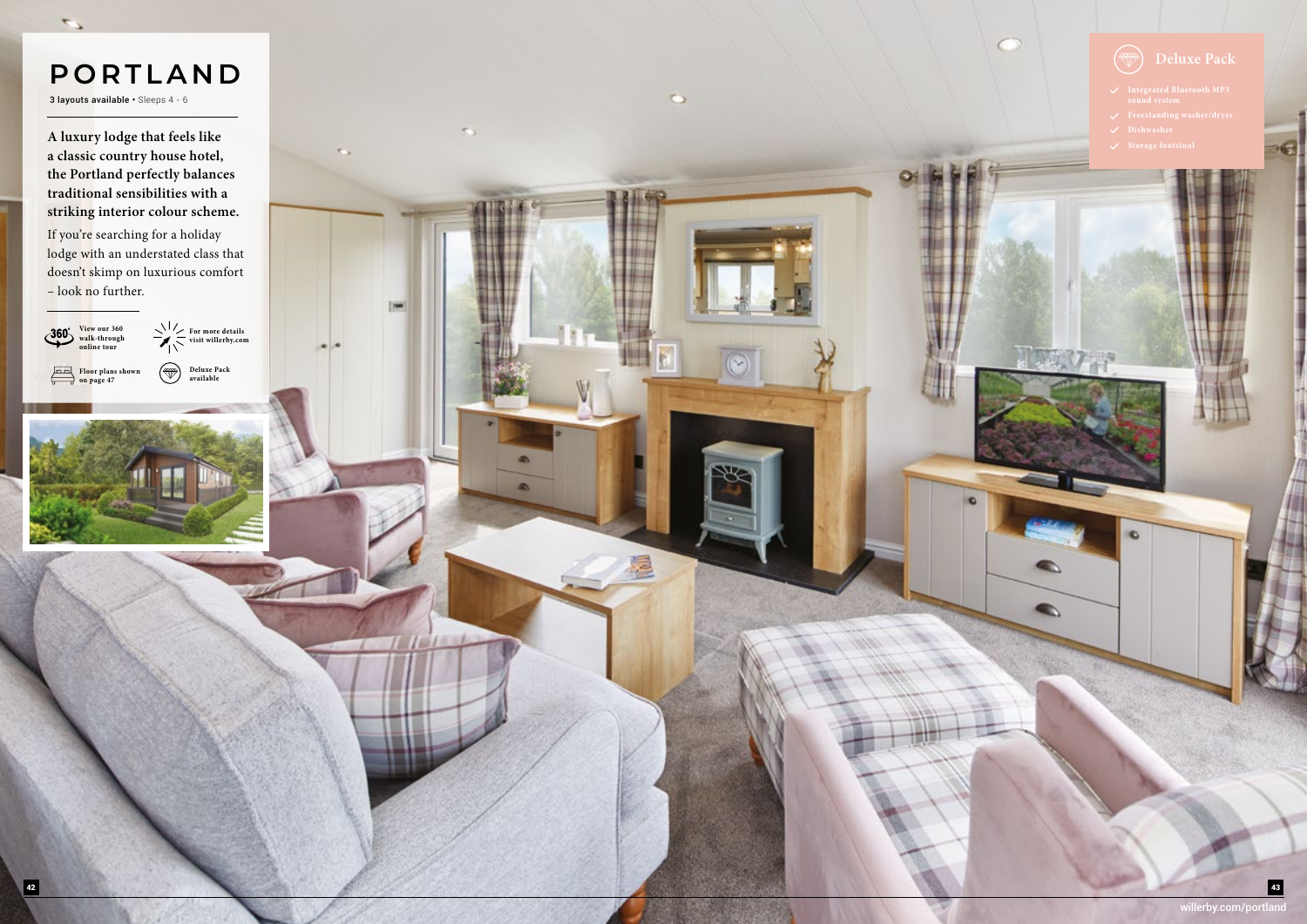willerby.com/portland

## **PORTLAND**

3 layouts available • Sleeps 4 - 6

 $\overline{\phantom{a}}$ 



**Floor plans shown on page 47**



**A luxury lodge that feels like a classic country house hotel, the Portland perfectly balances traditional sensibilities with a striking interior colour scheme.**

> **For more details visit willerby.com**  $\circledast$ **Deluxe Pack**

If you're searching for a holiday lodge with an understated class that doesn't skimp on luxurious comfort – look no further.



 $\circ$ 

 $\tau_{\rm ch}$ 

 $\boxed{\phantom{a}}$ 



- 
- 
- 

 $\bullet$ 

 $\bullet$ 

 $\bullet$ 

**available**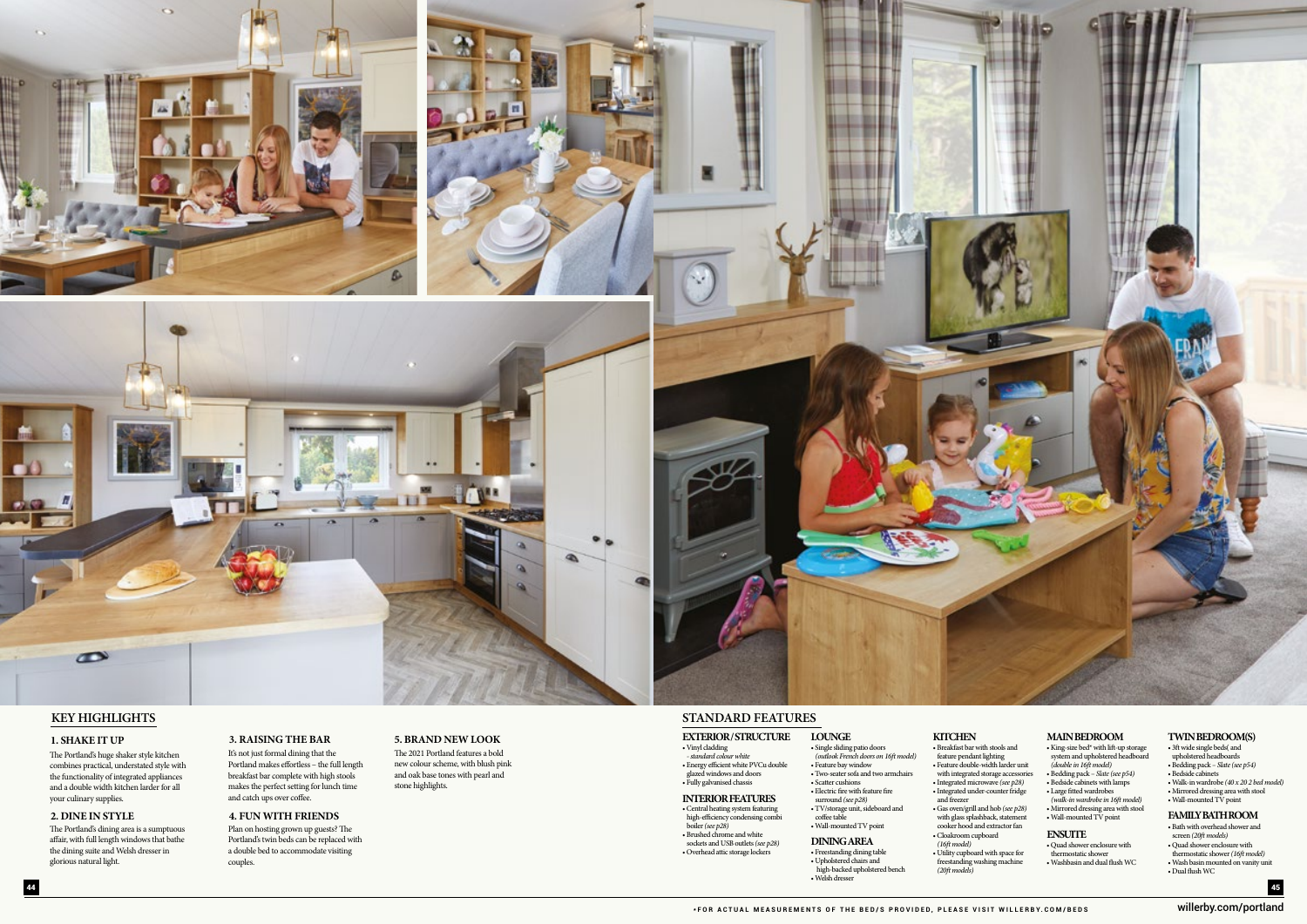





## **KEY HIGHLIGHTS**

#### **1. SHAKE IT UP**

#### **2. DINE IN STYLE**

#### **3. RAISING THE BAR 5. BRAND NEW LOOK**

#### **4. FUN WITH FRIENDS**

The Portland's huge shaker style kitchen combines practical, understated style with the functionality of integrated appliances and a double width kitchen larder for all your culinary supplies.

The Portland's dining area is a sumptuous affair, with full length windows that bathe the dining suite and Welsh dresser in glorious natural light.

It's not just formal dining that the Portland makes effortless – the full length breakfast bar complete with high stools makes the perfect setting for lunch time and catch ups over coffee.

The 2021 Portland features a bold new colour scheme, with blush pink and oak base tones with pearl and stone highlights.

Plan on hosting grown up guests? The Portland's twin beds can be replaced with a double bed to accommodate visiting couples.

#### willerby.com/portland

## **STANDARD FEATURES**

### **KITCHEN MAIN BEDROOM**

#### **TWIN BEDROOM(S)**

#### **FAMILY BATH ROOM**

#### **INTERIOR FEATURES**

• Vinyl cladding *- standard colour white* • Energy efficient white PVCu double glazed windows and doors • Fully galvanised chassis

**EXTERIOR / STRUCTURE LOUNGE** • Single sliding patio doors *(outlook French doors on 16ft model)* • Feature bay window • Breakfast bar with stools and feature pendant lighting

• Central heating system featuring high-efficiency condensing combi boiler *(see p28)* • Brushed chrome and white

- Scatter cushions • Electric fire with feature fire
- surround *(see p28)*
- TV/storage unit, sideboard and
- coffee table • Wall-mounted TV point
- **DINING AREA** • Freestanding dining table • Upholstered chairs and high-backed upholstered bench

• Welsh dresser

- Feature double-width larder unit with integrated storage accessories • Integrated microwave *(see p28)* • Integrated under-counter fridge
- Gas oven/grill and hob *(see p28)*  with glass splashback, statement cooker hood and extractor fan
	-

and freezer

• Two-seater sofa and two armchairs

• Cloakroom cupboard *(16ft model)* • Utility cupboard with space for freestanding washing machine *(20ft models)*

- King-size bed\* with lift-up storage system and upholstered headboard *(double in 16ft model)*
- Bedding pack *Slate (see p54)*
- Bedside cabinets with lamps
- Large fitted wardrobes
- *(walk-in wardrobe in 16ft model)* • Mirrored dressing area with stool
- Wall-mounted TV point
- **ENSUITE**
- 
- Quad shower enclosure with thermostatic shower
- Washbasin and dual flush WC
- 3ft wide single beds( and
- 
- upholstered headboards Bedding pack  *Slate (see p54)*
- Bedside cabinets
- Walk-in wardrobe *(40 x 20 2 bed model)*
- Mirrored dressing area with stool
- Wall-mounted TV point

- Bath with overhead shower and screen *(20ft models)*
- Quad shower enclosure with thermostatic shower *(16ft model)*
- Wash basin mounted on vanity unit
- Dual flush WC

 sockets and USB outlets *(see p28)* • Overhead attic storage lockers